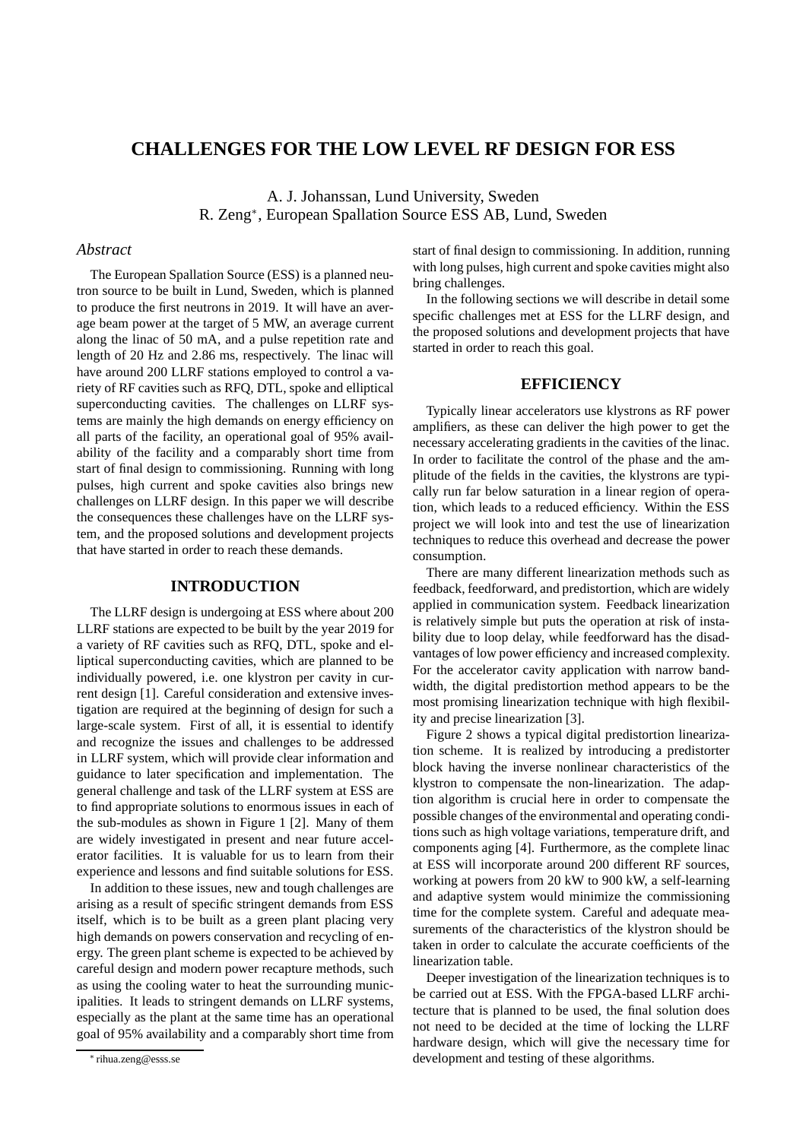# **CHALLENGES FOR THE LOW LEVEL RF DESIGN FOR ESS**

A. J. Johanssan, Lund University, Sweden R. Zeng<sup>∗</sup> , European Spallation Source ESS AB, Lund, Sweden

## *Abstract*

The European Spallation Source (ESS) is a planned neutron source to be built in Lund, Sweden, which is planned to produce the first neutrons in 2019. It will have an average beam power at the target of 5 MW, an average current along the linac of 50 mA, and a pulse repetition rate and length of 20 Hz and 2.86 ms, respectively. The linac will have around 200 LLRF stations employed to control a variety of RF cavities such as RFQ, DTL, spoke and elliptical superconducting cavities. The challenges on LLRF systems are mainly the high demands on energy efficiency on all parts of the facility, an operational goal of 95% availability of the facility and a comparably short time from start of final design to commissioning. Running with long pulses, high current and spoke cavities also brings new challenges on LLRF design. In this paper we will describe the consequences these challenges have on the LLRF system, and the proposed solutions and development projects that have started in order to reach these demands.

# **INTRODUCTION**

The LLRF design is undergoing at ESS where about 200 LLRF stations are expected to be built by the year 2019 for a variety of RF cavities such as RFQ, DTL, spoke and elliptical superconducting cavities, which are planned to be individually powered, i.e. one klystron per cavity in current design [1]. Careful consideration and extensive investigation are required at the beginning of design for such a large-scale system. First of all, it is essential to identify and recognize the issues and challenges to be addressed in LLRF system, which will provide clear information and guidance to later specification and implementation. The general challenge and task of the LLRF system at ESS are to find appropriate solutions to enormous issues in each of the sub-modules as shown in Figure 1 [2]. Many of them are widely investigated in present and near future accelerator facilities. It is valuable for us to learn from their experience and lessons and find suitable solutions for ESS.

In addition to these issues, new and tough challenges are arising as a result of specific stringent demands from ESS itself, which is to be built as a green plant placing very high demands on powers conservation and recycling of energy. The green plant scheme is expected to be achieved by careful design and modern power recapture methods, such as using the cooling water to heat the surrounding municipalities. It leads to stringent demands on LLRF systems, especially as the plant at the same time has an operational goal of 95% availability and a comparably short time from start of final design to commissioning. In addition, running with long pulses, high current and spoke cavities might also bring challenges.

In the following sections we will describe in detail some specific challenges met at ESS for the LLRF design, and the proposed solutions and development projects that have started in order to reach this goal.

# **EFFICIENCY**

Typically linear accelerators use klystrons as RF power amplifiers, as these can deliver the high power to get the necessary accelerating gradients in the cavities of the linac. In order to facilitate the control of the phase and the amplitude of the fields in the cavities, the klystrons are typically run far below saturation in a linear region of operation, which leads to a reduced efficiency. Within the ESS project we will look into and test the use of linearization techniques to reduce this overhead and decrease the power consumption.

There are many different linearization methods such as feedback, feedforward, and predistortion, which are widely applied in communication system. Feedback linearization is relatively simple but puts the operation at risk of instability due to loop delay, while feedforward has the disadvantages of low power efficiency and increased complexity. For the accelerator cavity application with narrow bandwidth, the digital predistortion method appears to be the most promising linearization technique with high flexibility and precise linearization [3].

Figure 2 shows a typical digital predistortion linearization scheme. It is realized by introducing a predistorter block having the inverse nonlinear characteristics of the klystron to compensate the non-linearization. The adaption algorithm is crucial here in order to compensate the possible changes of the environmental and operating conditions such as high voltage variations, temperature drift, and components aging [4]. Furthermore, as the complete linac at ESS will incorporate around 200 different RF sources, working at powers from 20 kW to 900 kW, a self-learning and adaptive system would minimize the commissioning time for the complete system. Careful and adequate measurements of the characteristics of the klystron should be taken in order to calculate the accurate coefficients of the linearization table.

Deeper investigation of the linearization techniques is to be carried out at ESS. With the FPGA-based LLRF architecture that is planned to be used, the final solution does not need to be decided at the time of locking the LLRF hardware design, which will give the necessary time for development and testing of these algorithms.

<sup>∗</sup> rihua.zeng@esss.se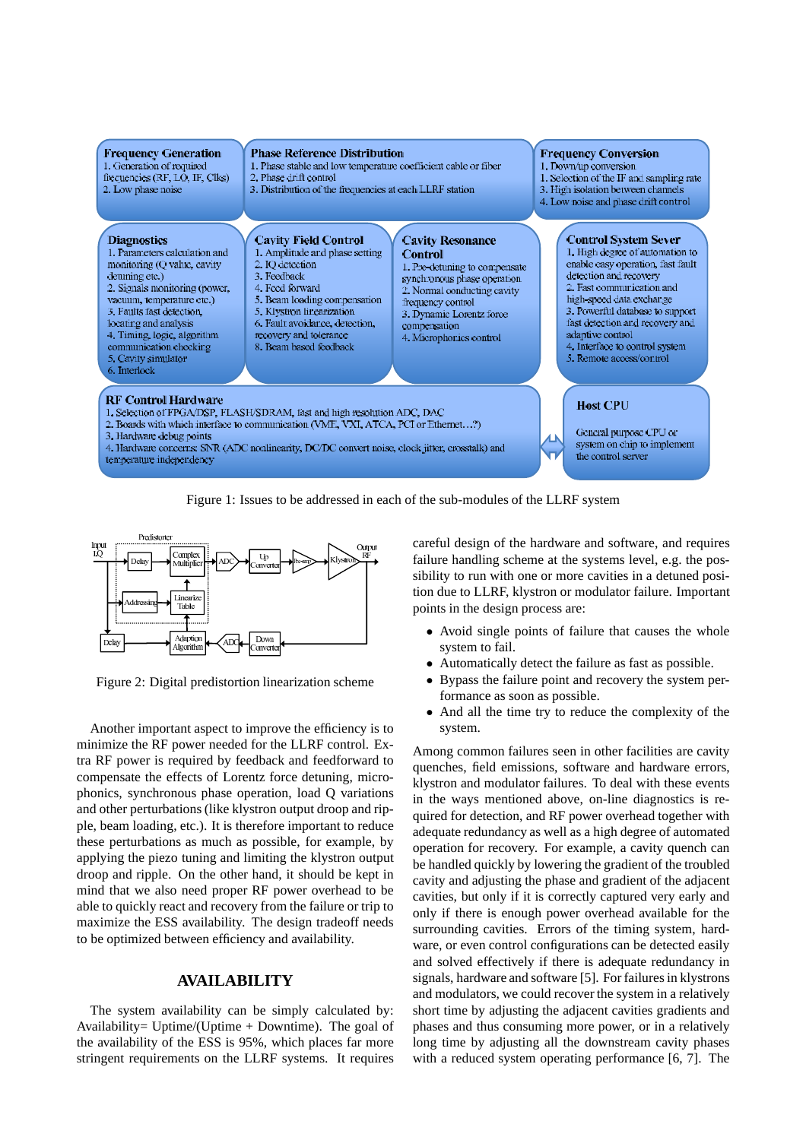

Figure 1: Issues to be addressed in each of the sub-modules of the LLRF system



Figure 2: Digital predistortion linearization scheme

Another important aspect to improve the efficiency is to minimize the RF power needed for the LLRF control. Extra RF power is required by feedback and feedforward to compensate the effects of Lorentz force detuning, microphonics, synchronous phase operation, load Q variations and other perturbations (like klystron output droop and ripple, beam loading, etc.). It is therefore important to reduce these perturbations as much as possible, for example, by applying the piezo tuning and limiting the klystron output droop and ripple. On the other hand, it should be kept in mind that we also need proper RF power overhead to be able to quickly react and recovery from the failure or trip to maximize the ESS availability. The design tradeoff needs to be optimized between efficiency and availability.

## **AVAILABILITY**

The system availability can be simply calculated by: Availability= Uptime/(Uptime + Downtime). The goal of the availability of the ESS is 95%, which places far more stringent requirements on the LLRF systems. It requires

careful design of the hardware and software, and requires failure handling scheme at the systems level, e.g. the possibility to run with one or more cavities in a detuned position due to LLRF, klystron or modulator failure. Important points in the design process are:

- Avoid single points of failure that causes the whole system to fail.
- Automatically detect the failure as fast as possible.
- Bypass the failure point and recovery the system performance as soon as possible.
- And all the time try to reduce the complexity of the system.

Among common failures seen in other facilities are cavity quenches, field emissions, software and hardware errors, klystron and modulator failures. To deal with these events in the ways mentioned above, on-line diagnostics is required for detection, and RF power overhead together with adequate redundancy as well as a high degree of automated operation for recovery. For example, a cavity quench can be handled quickly by lowering the gradient of the troubled cavity and adjusting the phase and gradient of the adjacent cavities, but only if it is correctly captured very early and only if there is enough power overhead available for the surrounding cavities. Errors of the timing system, hardware, or even control configurations can be detected easily and solved effectively if there is adequate redundancy in signals, hardware and software [5]. For failures in klystrons and modulators, we could recover the system in a relatively short time by adjusting the adjacent cavities gradients and phases and thus consuming more power, or in a relatively long time by adjusting all the downstream cavity phases with a reduced system operating performance [6, 7]. The